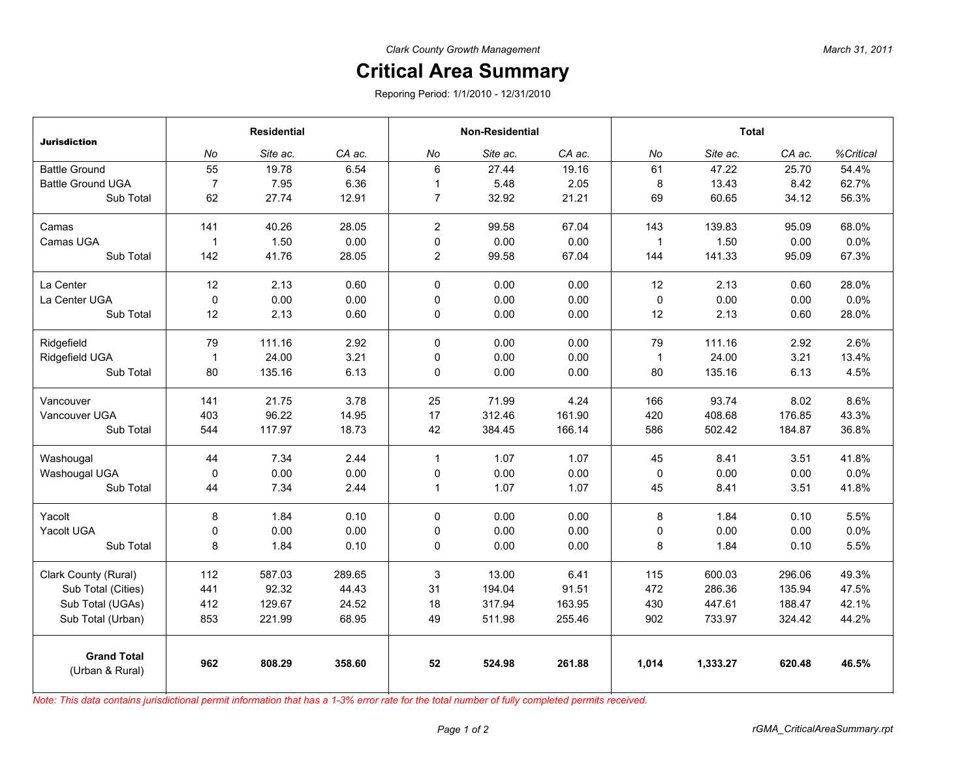## **Critical Area Summary**

Reporing Period: 1/1/2010 - 12/31/2010

| <b>Jurisdiction</b>                   | <b>Residential</b> |          |        | <b>Non-Residential</b> |          |        | <b>Total</b> |          |        |           |
|---------------------------------------|--------------------|----------|--------|------------------------|----------|--------|--------------|----------|--------|-----------|
|                                       | No                 | Site ac. | CA ac. | No                     | Site ac. | CA ac. | No           | Site ac. | CA ac. | %Critical |
| <b>Battle Ground</b>                  | 55                 | 19.78    | 6.54   | 6                      | 27.44    | 19.16  | 61           | 47.22    | 25.70  | 54.4%     |
| <b>Battle Ground UGA</b>              | $\overline{7}$     | 7.95     | 6.36   | $\mathbf{1}$           | 5.48     | 2.05   | 8            | 13.43    | 8.42   | 62.7%     |
| Sub Total                             | 62                 | 27.74    | 12.91  | $\overline{7}$         | 32.92    | 21.21  | 69           | 60.65    | 34.12  | 56.3%     |
| Camas                                 | 141                | 40.26    | 28.05  | $\overline{2}$         | 99.58    | 67.04  | 143          | 139.83   | 95.09  | 68.0%     |
| Camas UGA                             | $\overline{1}$     | 1.50     | 0.00   | $\pmb{0}$              | 0.00     | 0.00   | $\mathbf{1}$ | 1.50     | 0.00   | 0.0%      |
| Sub Total                             | 142                | 41.76    | 28.05  | $\overline{2}$         | 99.58    | 67.04  | 144          | 141.33   | 95.09  | 67.3%     |
| La Center                             | 12                 | 2.13     | 0.60   | $\mathbf 0$            | 0.00     | 0.00   | 12           | 2.13     | 0.60   | 28.0%     |
| La Center UGA                         | $\mathbf 0$        | 0.00     | 0.00   | $\mathbf 0$            | 0.00     | 0.00   | 0            | 0.00     | 0.00   | 0.0%      |
| Sub Total                             | 12                 | 2.13     | 0.60   | $\pmb{0}$              | 0.00     | 0.00   | 12           | 2.13     | 0.60   | 28.0%     |
| Ridgefield                            | 79                 | 111.16   | 2.92   | $\mathbf{0}$           | 0.00     | 0.00   | 79           | 111.16   | 2.92   | 2.6%      |
| Ridgefield UGA                        | $\overline{1}$     | 24.00    | 3.21   | 0                      | 0.00     | 0.00   | $\mathbf{1}$ | 24.00    | 3.21   | 13.4%     |
| Sub Total                             | 80                 | 135.16   | 6.13   | $\mathbf 0$            | 0.00     | 0.00   | 80           | 135.16   | 6.13   | 4.5%      |
| Vancouver                             | 141                | 21.75    | 3.78   | 25                     | 71.99    | 4.24   | 166          | 93.74    | 8.02   | 8.6%      |
| Vancouver UGA                         | 403                | 96.22    | 14.95  | 17                     | 312.46   | 161.90 | 420          | 408.68   | 176.85 | 43.3%     |
| Sub Total                             | 544                | 117.97   | 18.73  | 42                     | 384.45   | 166.14 | 586          | 502.42   | 184.87 | 36.8%     |
| Washougal                             | 44                 | 7.34     | 2.44   | $\mathbf{1}$           | 1.07     | 1.07   | 45           | 8.41     | 3.51   | 41.8%     |
| Washougal UGA                         | $\mathbf 0$        | 0.00     | 0.00   | $\pmb{0}$              | 0.00     | 0.00   | 0            | 0.00     | 0.00   | 0.0%      |
| Sub Total                             | 44                 | 7.34     | 2.44   | $\mathbf{1}$           | 1.07     | 1.07   | 45           | 8.41     | 3.51   | 41.8%     |
| Yacolt                                | 8                  | 1.84     | 0.10   | $\mathbf 0$            | 0.00     | 0.00   | 8            | 1.84     | 0.10   | 5.5%      |
| Yacolt UGA                            | 0                  | 0.00     | 0.00   | $\pmb{0}$              | 0.00     | 0.00   | 0            | 0.00     | 0.00   | 0.0%      |
| Sub Total                             | 8                  | 1.84     | 0.10   | $\pmb{0}$              | 0.00     | 0.00   | 8            | 1.84     | 0.10   | 5.5%      |
| Clark County (Rural)                  | 112                | 587.03   | 289.65 | 3                      | 13.00    | 6.41   | 115          | 600.03   | 296.06 | 49.3%     |
| Sub Total (Cities)                    | 441                | 92.32    | 44.43  | 31                     | 194.04   | 91.51  | 472          | 286.36   | 135.94 | 47.5%     |
| Sub Total (UGAs)                      | 412                | 129.67   | 24.52  | 18                     | 317.94   | 163.95 | 430          | 447.61   | 188.47 | 42.1%     |
| Sub Total (Urban)                     | 853                | 221.99   | 68.95  | 49                     | 511.98   | 255.46 | 902          | 733.97   | 324.42 | 44.2%     |
| <b>Grand Total</b><br>(Urban & Rural) | 962                | 808.29   | 358.60 | 52                     | 524.98   | 261.88 | 1,014        | 1,333.27 | 620.48 | 46.5%     |

*Note: This data contains jurisdictional permit information that has a 1-3% error rate for the total number of fully completed permits received.*